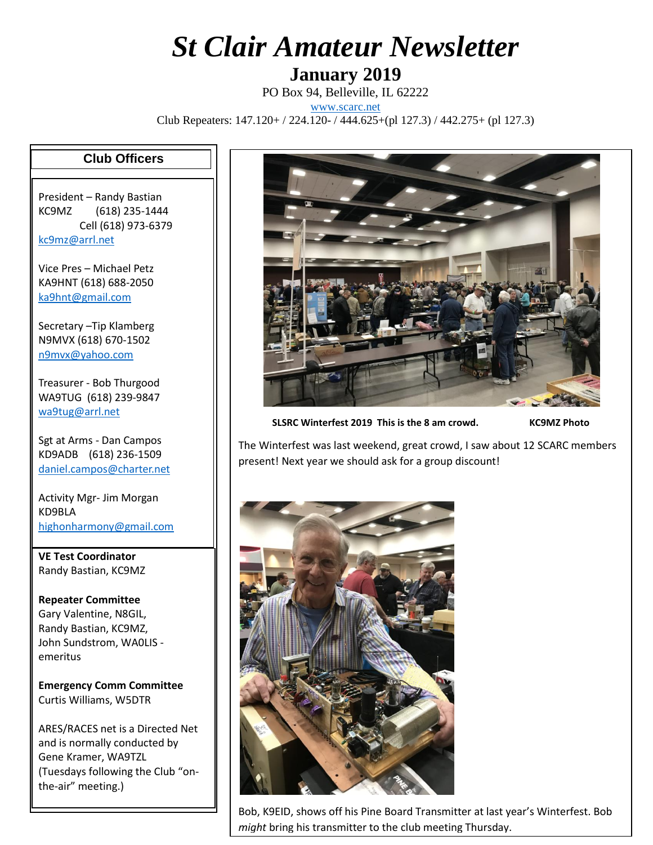## *St Clair Amateur Newsletter*

**January 2019**

PO Box 94, Belleville, IL 62222

[www.scarc.net](http://www.scarc.net/)

Club Repeaters: 147.120+ / 224.120- / 444.625+(pl 127.3) / 442.275+ (pl 127.3)

## **Club Officers**

President – Randy Bastian KC9MZ (618) 235-1444 Cell (618) 973-6379 [kc9mz@arrl.net](mailto:kc9mz@arrl.net)

Vice Pres – Michael Petz KA9HNT (618) 688-2050 [ka9hnt@gmail.com](mailto:ka9hnt@gmail.com)

Secretary –Tip Klamberg N9MVX (618) 670-1502 [n9mvx@yahoo.com](mailto:n9mvx@yahoo.com)

Treasurer - Bob Thurgood WA9TUG (618) 239-9847 [wa9tug@arrl.net](mailto:wa9tug@arrl.net)

Sgt at Arms - Dan Campos KD9ADB (618) 236-1509 [daniel.campos@charter.net](mailto:daniel.campos@charter.net)

Activity Mgr- Jim Morgan KD9BLA [highonharmony@gmail.com](mailto:highonharmony@gmail.com)

**VE Test Coordinator** Randy Bastian, KC9MZ

**Repeater Committee** Gary Valentine, N8GIL, Randy Bastian, KC9MZ, John Sundstrom, WA0LIS emeritus

**Emergency Comm Committee** Curtis Williams, W5DTR

ARES/RACES net is a Directed Net and is normally conducted by Gene Kramer, WA9TZL (Tuesdays following the Club "onthe-air" meeting.)



**SLSRC Winterfest 2019 This is the 8 am crowd. KC9MZ Photo**

The Winterfest was last weekend, great crowd, I saw about 12 SCARC members present! Next year we should ask for a group discount!



Bob, K9EID, shows off his Pine Board Transmitter at last year's Winterfest. Bob *might* bring his transmitter to the club meeting Thursday.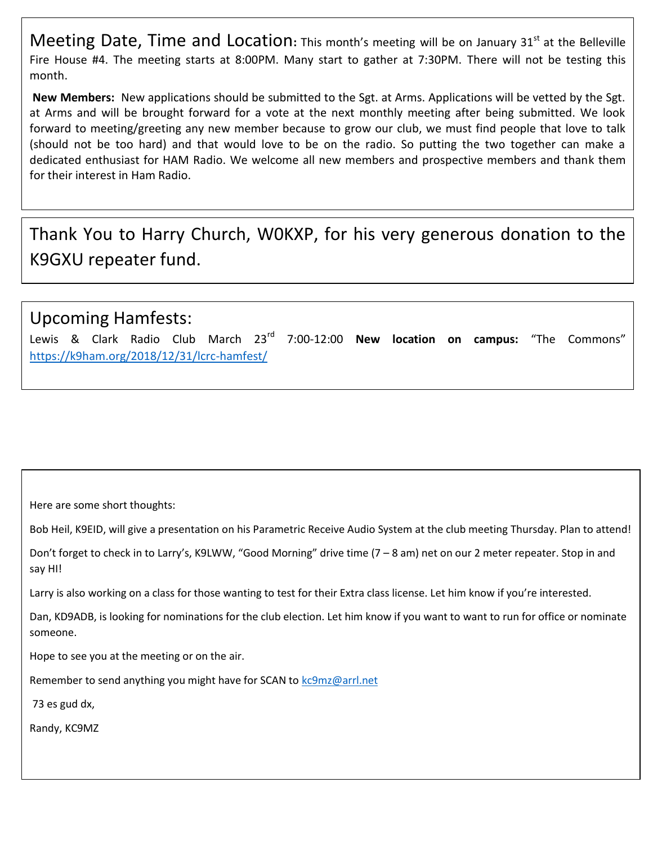Meeting Date, Time and Location: This month's meeting will be on January 31<sup>st</sup> at the Belleville Fire House #4. The meeting starts at 8:00PM. Many start to gather at 7:30PM. There will not be testing this month.

**New Members:** New applications should be submitted to the Sgt. at Arms. Applications will be vetted by the Sgt. at Arms and will be brought forward for a vote at the next monthly meeting after being submitted. We look forward to meeting/greeting any new member because to grow our club, we must find people that love to talk (should not be too hard) and that would love to be on the radio. So putting the two together can make a dedicated enthusiast for HAM Radio. We welcome all new members and prospective members and thank them for their interest in Ham Radio.

Thank You to Harry Church, W0KXP, for his very generous donation to the K9GXU repeater fund.

## Upcoming Hamfests:

Lewis & Clark Radio Club March 23rd 7:00-12:00 **New location on campus:** "The Commons" <https://k9ham.org/2018/12/31/lcrc-hamfest/>

Here are some short thoughts:

Bob Heil, K9EID, will give a presentation on his Parametric Receive Audio System at the club meeting Thursday. Plan to attend!

Don't forget to check in to Larry's, K9LWW, "Good Morning" drive time (7 – 8 am) net on our 2 meter repeater. Stop in and say HI!

Larry is also working on a class for those wanting to test for their Extra class license. Let him know if you're interested.

Dan, KD9ADB, is looking for nominations for the club election. Let him know if you want to want to run for office or nominate someone.

Hope to see you at the meeting or on the air.

Remember to send anything you might have for SCAN to [kc9mz@arrl.net](mailto:kc9mz@arrl.net)

73 es gud dx,

Randy, KC9MZ